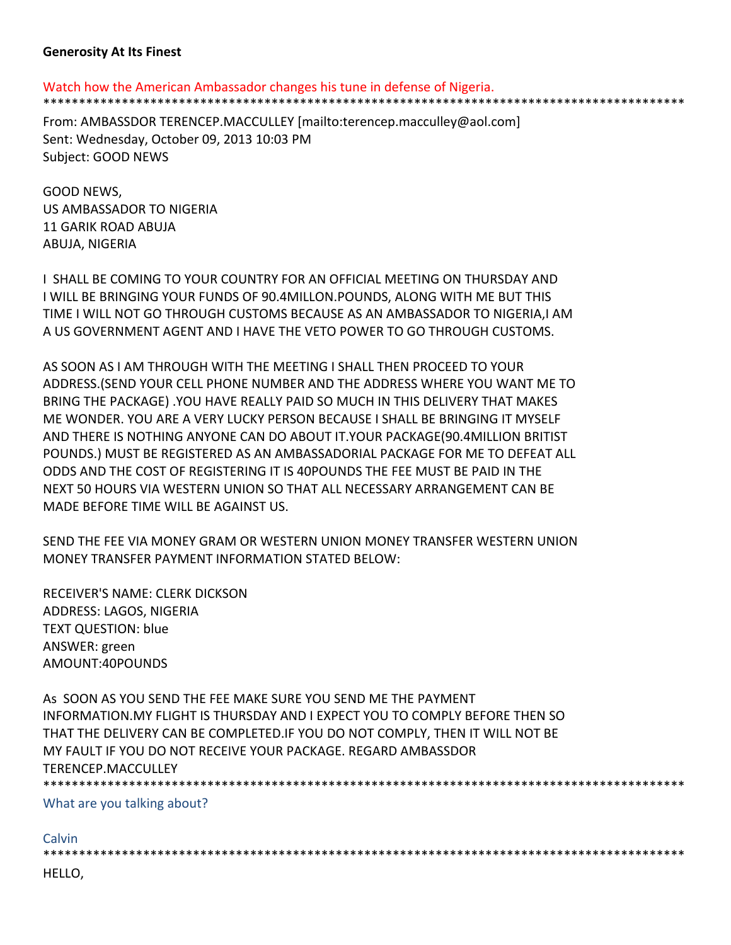## **Generosity At Its Finest**

Watch how the American Ambassador changes his tune in defense of Nigeria.

\*\*\*\*\*\*\*\*\*\*\*\*\*\*\*\*\*\*\*\*\*\*\*\*\*\*\*\*\*\*\*\*\*\*\*\*\*\*\*\*\*\*\*\*\*\*\*\*\*\*\*\*\*\*\*\*\*\*\*\*\*\*\*\*\*\*\*\*\*\*\*\*\*\*\*\*\*\*\*\*\*\*\*\*\*\*\*\*\*\*

From: AMBASSDOR TERENCEP.MACCULLEY [mailto:terencep.macculley@aol.com] Sent: Wednesday, October 09, 2013 10:03 PM Subject: GOOD NEWS

GOOD NEWS, US AMBASSADOR TO NIGERIA 11 GARIK ROAD ABUJA ABUJA, NIGERIA

I SHALL BE COMING TO YOUR COUNTRY FOR AN OFFICIAL MEETING ON THURSDAY AND I WILL BE BRINGING YOUR FUNDS OF 90.4MILLON.POUNDS, ALONG WITH ME BUT THIS TIME I WILL NOT GO THROUGH CUSTOMS BECAUSE AS AN AMBASSADOR TO NIGERIA,I AM A US GOVERNMENT AGENT AND I HAVE THE VETO POWER TO GO THROUGH CUSTOMS.

AS SOON AS I AM THROUGH WITH THE MEETING I SHALL THEN PROCEED TO YOUR ADDRESS.(SEND YOUR CELL PHONE NUMBER AND THE ADDRESS WHERE YOU WANT ME TO BRING THE PACKAGE) .YOU HAVE REALLY PAID SO MUCH IN THIS DELIVERY THAT MAKES ME WONDER. YOU ARE A VERY LUCKY PERSON BECAUSE I SHALL BE BRINGING IT MYSELF AND THERE IS NOTHING ANYONE CAN DO ABOUT IT.YOUR PACKAGE(90.4MILLION BRITIST POUNDS.) MUST BE REGISTERED AS AN AMBASSADORIAL PACKAGE FOR ME TO DEFEAT ALL ODDS AND THE COST OF REGISTERING IT IS 40POUNDS THE FEE MUST BE PAID IN THE NEXT 50 HOURS VIA WESTERN UNION SO THAT ALL NECESSARY ARRANGEMENT CAN BE MADE BEFORE TIME WILL BE AGAINST US.

SEND THE FEE VIA MONEY GRAM OR WESTERN UNION MONEY TRANSFER WESTERN UNION MONEY TRANSFER PAYMENT INFORMATION STATED BELOW:

RECEIVER'S NAME: CLERK DICKSON ADDRESS: LAGOS, NIGERIA TEXT QUESTION: blue ANSWER: green AMOUNT:40POUNDS

As SOON AS YOU SEND THE FEE MAKE SURE YOU SEND ME THE PAYMENT INFORMATION.MY FLIGHT IS THURSDAY AND I EXPECT YOU TO COMPLY BEFORE THEN SO THAT THE DELIVERY CAN BE COMPLETED.IF YOU DO NOT COMPLY, THEN IT WILL NOT BE MY FAULT IF YOU DO NOT RECEIVE YOUR PACKAGE. REGARD AMBASSDOR TERENCEP.MACCULLEY \*\*\*\*\*\*\*\*\*\*\*\*\*\*\*\*\*\*\*\*\*\*\*\*\*\*\*\*\*\*\*\*\*\*\*\*\*\*\*\*\*\*\*\*\*\*\*\*\*\*\*\*\*\*\*\*\*\*\*\*\*\*\*\*\*\*\*\*\*\*\*\*\*\*\*\*\*\*\*\*\*\*\*\*\*\*\*\*\*\*

What are you talking about?

Calvin

\*\*\*\*\*\*\*\*\*\*\*\*\*\*\*\*\*\*\*\*\*\*\*\*\*\*\*\*\*\*\*\*\*\*\*\*\*\*\*\*\*\*\*\*\*\*\*\*\*\*\*\*\*\*\*\*\*\*\*\*\*\*\*\*\*\*\*\*\*\*\*\*\*\*\*\*\*\*\*\*\*\*\*\*\*\*\*\*\*\*

HELLO,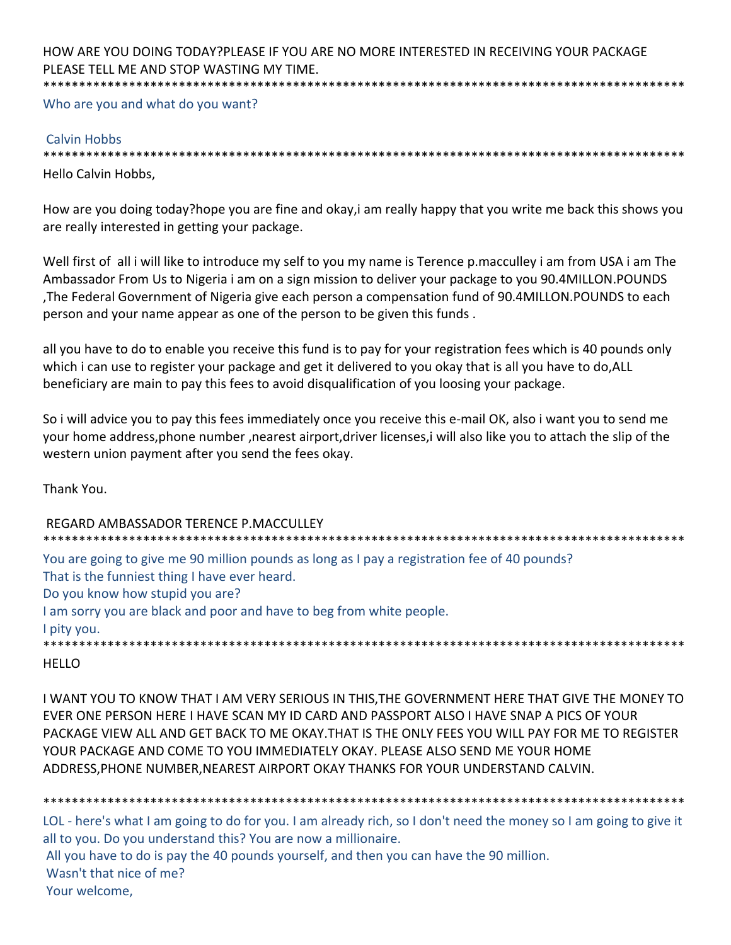#### HOW ARE YOU DOING TODAY?PLEASE IF YOU ARE NO MORE INTERESTED IN RECEIVING YOUR PACKAGE PLEASE TELL ME AND STOP WASTING MY TIME. \*\*\*\*\*\*\*\*\*\*\*\*\*\*\*\*\*\*\*\*\*\*\*\*\*\*\*\*\*\*\*\*\*\*\*\*\*\*\*\*\*\*\*\*\*\*\*\*\*\*\*\*\*\*\*\*\*\*\*\*\*\*\*\*\*\*\*\*\*\*\*\*\*\*\*\*\*\*\*\*\*\*\*\*\*\*\*\*\*\*

Who are you and what do you want?

## Calvin Hobbs

\*\*\*\*\*\*\*\*\*\*\*\*\*\*\*\*\*\*\*\*\*\*\*\*\*\*\*\*\*\*\*\*\*\*\*\*\*\*\*\*\*\*\*\*\*\*\*\*\*\*\*\*\*\*\*\*\*\*\*\*\*\*\*\*\*\*\*\*\*\*\*\*\*\*\*\*\*\*\*\*\*\*\*\*\*\*\*\*\*\*

Hello Calvin Hobbs,

How are you doing today?hope you are fine and okay,i am really happy that you write me back this shows you are really interested in getting your package.

Well first of all i will like to introduce my self to you my name is Terence p.macculley i am from USA i am The Ambassador From Us to Nigeria i am on a sign mission to deliver your package to you 90.4MILLON.POUNDS ,The Federal Government of Nigeria give each person a compensation fund of 90.4MILLON.POUNDS to each person and your name appear as one of the person to be given this funds .

all you have to do to enable you receive this fund is to pay for your registration fees which is 40 pounds only which i can use to register your package and get it delivered to you okay that is all you have to do,ALL beneficiary are main to pay this fees to avoid disqualification of you loosing your package.

So i will advice you to pay this fees immediately once you receive this e‐mail OK, also i want you to send me your home address,phone number ,nearest airport,driver licenses,i will also like you to attach the slip of the western union payment after you send the fees okay.

Thank You.

REGARD AMBASSADOR TERENCE P.MACCULLEY \*\*\*\*\*\*\*\*\*\*\*\*\*\*\*\*\*\*\*\*\*\*\*\*\*\*\*\*\*\*\*\*\*\*\*\*\*\*\*\*\*\*\*\*\*\*\*\*\*\*\*\*\*\*\*\*\*\*\*\*\*\*\*\*\*\*\*\*\*\*\*\*\*\*\*\*\*\*\*\*\*\*\*\*\*\*\*\*\*\* You are going to give me 90 million pounds as long as I pay a registration fee of 40 pounds? That is the funniest thing I have ever heard. Do you know how stupid you are? I am sorry you are black and poor and have to beg from white people. I pity you. \*\*\*\*\*\*\*\*\*\*\*\*\*\*\*\*\*\*\*\*\*\*\*\*\*\*\*\*\*\*\*\*\*\*\*\*\*\*\*\*\*\*\*\*\*\*\*\*\*\*\*\*\*\*\*\*\*\*\*\*\*\*\*\*\*\*\*\*\*\*\*\*\*\*\*\*\*\*\*\*\*\*\*\*\*\*\*\*\*\*

# HELLO

I WANT YOU TO KNOW THAT I AM VERY SERIOUS IN THIS,THE GOVERNMENT HERE THAT GIVE THE MONEY TO EVER ONE PERSON HERE I HAVE SCAN MY ID CARD AND PASSPORT ALSO I HAVE SNAP A PICS OF YOUR PACKAGE VIEW ALL AND GET BACK TO ME OKAY.THAT IS THE ONLY FEES YOU WILL PAY FOR ME TO REGISTER YOUR PACKAGE AND COME TO YOU IMMEDIATELY OKAY. PLEASE ALSO SEND ME YOUR HOME ADDRESS,PHONE NUMBER,NEAREST AIRPORT OKAY THANKS FOR YOUR UNDERSTAND CALVIN.

\*\*\*\*\*\*\*\*\*\*\*\*\*\*\*\*\*\*\*\*\*\*\*\*\*\*\*\*\*\*\*\*\*\*\*\*\*\*\*\*\*\*\*\*\*\*\*\*\*\*\*\*\*\*\*\*\*\*\*\*\*\*\*\*\*\*\*\*\*\*\*\*\*\*\*\*\*\*\*\*\*\*\*\*\*\*\*\*\*\* LOL - here's what I am going to do for you. I am already rich, so I don't need the money so I am going to give it all to you. Do you understand this? You are now a millionaire. All you have to do is pay the 40 pounds yourself, and then you can have the 90 million. Wasn't that nice of me? Your welcome,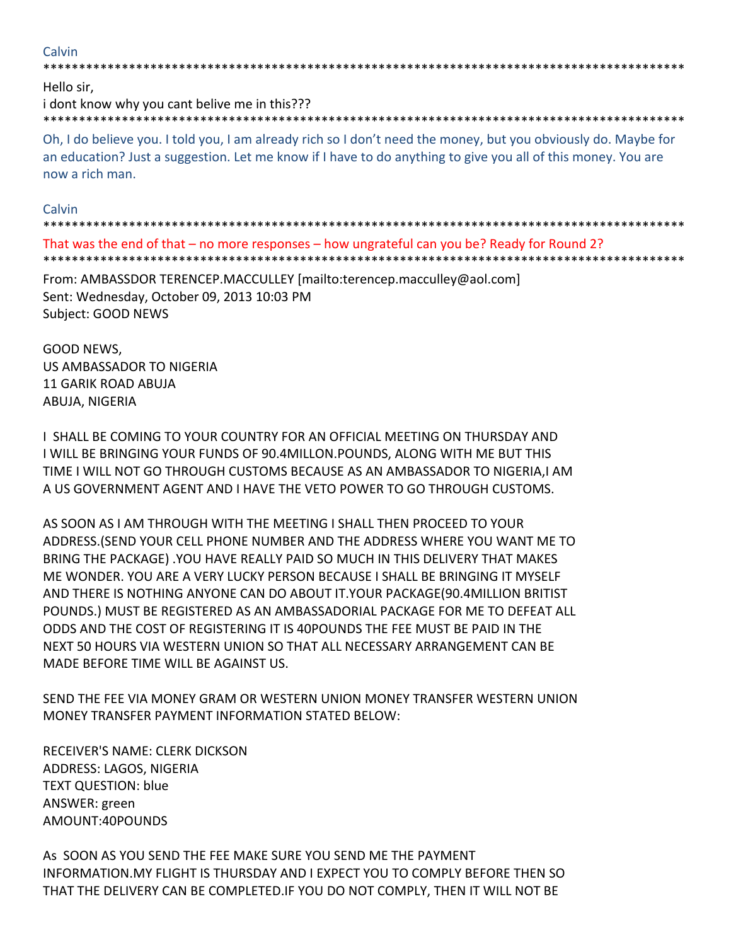# Calvin

Hello sir.

i dont know why you cant belive me in this??? 

Oh, I do believe you. I told you, I am already rich so I don't need the money, but you obviously do. Maybe for an education? Just a suggestion. Let me know if I have to do anything to give you all of this money. You are now a rich man.

## Calvin

That was the end of that – no more responses – how ungrateful can you be? Ready for Round 2?

From: AMBASSDOR TERENCEP.MACCULLEY [mailto:terencep.macculley@aol.com] Sent: Wednesday, October 09, 2013 10:03 PM Subject: GOOD NEWS

GOOD NEWS, **US AMBASSADOR TO NIGERIA 11 GARIK ROAD ABUJA** ABUJA, NIGERIA

I SHALL BE COMING TO YOUR COUNTRY FOR AN OFFICIAL MEETING ON THURSDAY AND I WILL BE BRINGING YOUR FUNDS OF 90.4MILLON.POUNDS, ALONG WITH ME BUT THIS TIME I WILL NOT GO THROUGH CUSTOMS BECAUSE AS AN AMBASSADOR TO NIGERIA, I AM A US GOVERNMENT AGENT AND I HAVE THE VETO POWER TO GO THROUGH CUSTOMS.

AS SOON AS I AM THROUGH WITH THE MEETING I SHALL THEN PROCEED TO YOUR ADDRESS. (SEND YOUR CELL PHONE NUMBER AND THE ADDRESS WHERE YOU WANT ME TO BRING THE PACKAGE). YOU HAVE REALLY PAID SO MUCH IN THIS DELIVERY THAT MAKES ME WONDER. YOU ARE A VERY LUCKY PERSON BECAUSE I SHALL BE BRINGING IT MYSELF AND THERE IS NOTHING ANYONE CAN DO ABOUT IT. YOUR PACKAGE (90.4MILLION BRITIST POUNDS.) MUST BE REGISTERED AS AN AMBASSADORIAL PACKAGE FOR ME TO DEFEAT ALL ODDS AND THE COST OF REGISTERING IT IS 40POUNDS THE FEE MUST BE PAID IN THE NEXT 50 HOURS VIA WESTERN UNION SO THAT ALL NECESSARY ARRANGEMENT CAN BE MADE BEFORE TIME WILL BE AGAINST US.

SEND THE FEE VIA MONEY GRAM OR WESTERN UNION MONEY TRANSFER WESTERN UNION MONEY TRANSFER PAYMENT INFORMATION STATED BELOW:

RECEIVER'S NAME: CLERK DICKSON ADDRESS: LAGOS, NIGERIA **TEXT QUESTION: blue** ANSWER: green AMOUNT:40POUNDS

As SOON AS YOU SEND THE FEE MAKE SURE YOU SEND ME THE PAYMENT INFORMATION. MY FLIGHT IS THURSDAY AND I EXPECT YOU TO COMPLY BEFORE THEN SO THAT THE DELIVERY CAN BE COMPLETED. IF YOU DO NOT COMPLY, THEN IT WILL NOT BE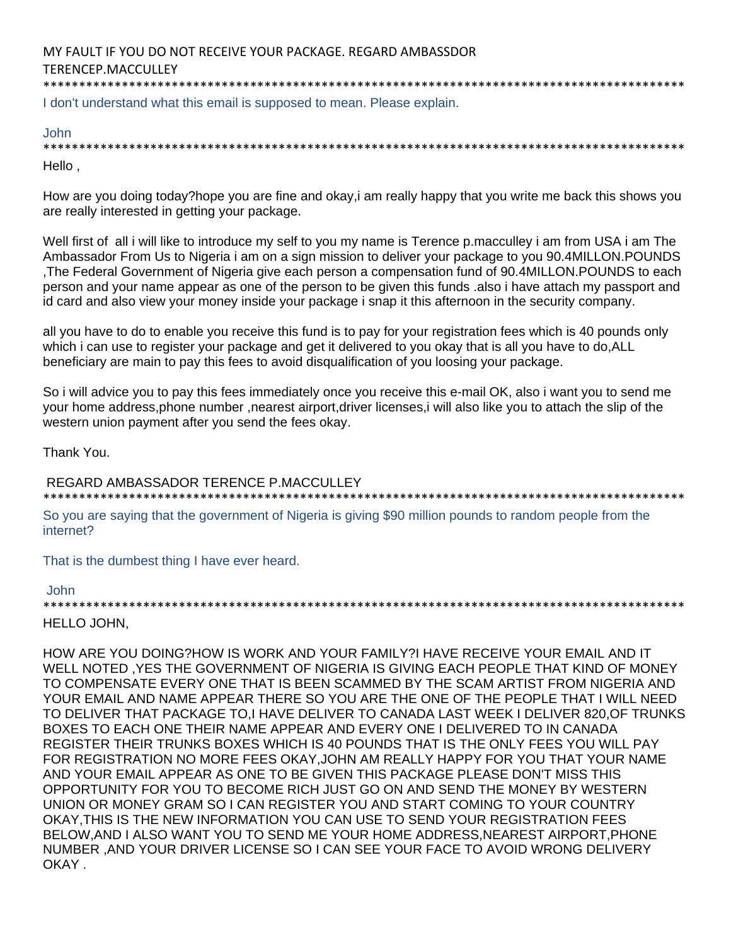I don't understand what this email is supposed to mean. Please explain.

## John

\*\*\*\*\*\*\*\*\*\*\*\*\*\*\*\*\*\*\*\*\*\*\*\*\*\*\*\*\*\*\*\*\*\*\*\*\*\*\*\*\*\*\*\*\*\*\*\*\*\*\*\*\*\*\*\*\*\*\*\*\*\*\*\*\*\*\*\*\*\*\*\*\*\*\*\*\*\*\*\*\*\*\*\*\*\*\*\*\*\* Hello ,

How are you doing today?hope you are fine and okay,i am really happy that you write me back this shows you are really interested in getting your package.

Well first of all i will like to introduce my self to you my name is Terence p.macculley i am from USA i am The Ambassador From Us to Nigeria i am on a sign mission to deliver your package to you 90.4MILLON.POUNDS ,The Federal Government of Nigeria give each person a compensation fund of 90.4MILLON.POUNDS to each person and your name appear as one of the person to be given this funds .also i have attach my passport and id card and also view your money inside your package i snap it this afternoon in the security company.

all you have to do to enable you receive this fund is to pay for your registration fees which is 40 pounds only which i can use to register your package and get it delivered to you okay that is all you have to do,ALL beneficiary are main to pay this fees to avoid disqualification of you loosing your package.

So i will advice you to pay this fees immediately once you receive this e-mail OK, also i want you to send me your home address,phone number ,nearest airport,driver licenses,i will also like you to attach the slip of the western union payment after you send the fees okay.

Thank You.

REGARD AMBASSADOR TERENCE P.MACCULLEY

\*\*\*\*\*\*\*\*\*\*\*\*\*\*\*\*\*\*\*\*\*\*\*\*\*\*\*\*\*\*\*\*\*\*\*\*\*\*\*\*\*\*\*\*\*\*\*\*\*\*\*\*\*\*\*\*\*\*\*\*\*\*\*\*\*\*\*\*\*\*\*\*\*\*\*\*\*\*\*\*\*\*\*\*\*\*\*\*\*\* So you are saying that the government of Nigeria is giving \$90 million pounds to random people from the

That is the dumbest thing I have ever heard.

# John

internet?

\*\*\*\*\*\*\*\*\*\*\*\*\*\*\*\*\*\*\*\*\*\*\*\*\*\*\*\*\*\*\*\*\*\*\*\*\*\*\*\*\*\*\*\*\*\*\*\*\*\*\*\*\*\*\*\*\*\*\*\*\*\*\*\*\*\*\*\*\*\*\*\*\*\*\*\*\*\*\*\*\*\*\*\*\*\*\*\*\*\*

# HELLO JOHN,

HOW ARE YOU DOING?HOW IS WORK AND YOUR FAMILY?I HAVE RECEIVE YOUR EMAIL AND IT WELL NOTED ,YES THE GOVERNMENT OF NIGERIA IS GIVING EACH PEOPLE THAT KIND OF MONEY TO COMPENSATE EVERY ONE THAT IS BEEN SCAMMED BY THE SCAM ARTIST FROM NIGERIA AND YOUR EMAIL AND NAME APPEAR THERE SO YOU ARE THE ONE OF THE PEOPLE THAT I WILL NEED TO DELIVER THAT PACKAGE TO,I HAVE DELIVER TO CANADA LAST WEEK I DELIVER 820,OF TRUNKS BOXES TO EACH ONE THEIR NAME APPEAR AND EVERY ONE I DELIVERED TO IN CANADA REGISTER THEIR TRUNKS BOXES WHICH IS 40 POUNDS THAT IS THE ONLY FEES YOU WILL PAY FOR REGISTRATION NO MORE FEES OKAY,JOHN AM REALLY HAPPY FOR YOU THAT YOUR NAME AND YOUR EMAIL APPEAR AS ONE TO BE GIVEN THIS PACKAGE PLEASE DON'T MISS THIS OPPORTUNITY FOR YOU TO BECOME RICH JUST GO ON AND SEND THE MONEY BY WESTERN UNION OR MONEY GRAM SO I CAN REGISTER YOU AND START COMING TO YOUR COUNTRY OKAY,THIS IS THE NEW INFORMATION YOU CAN USE TO SEND YOUR REGISTRATION FEES BELOW,AND I ALSO WANT YOU TO SEND ME YOUR HOME ADDRESS,NEAREST AIRPORT,PHONE NUMBER ,AND YOUR DRIVER LICENSE SO I CAN SEE YOUR FACE TO AVOID WRONG DELIVERY OKAY .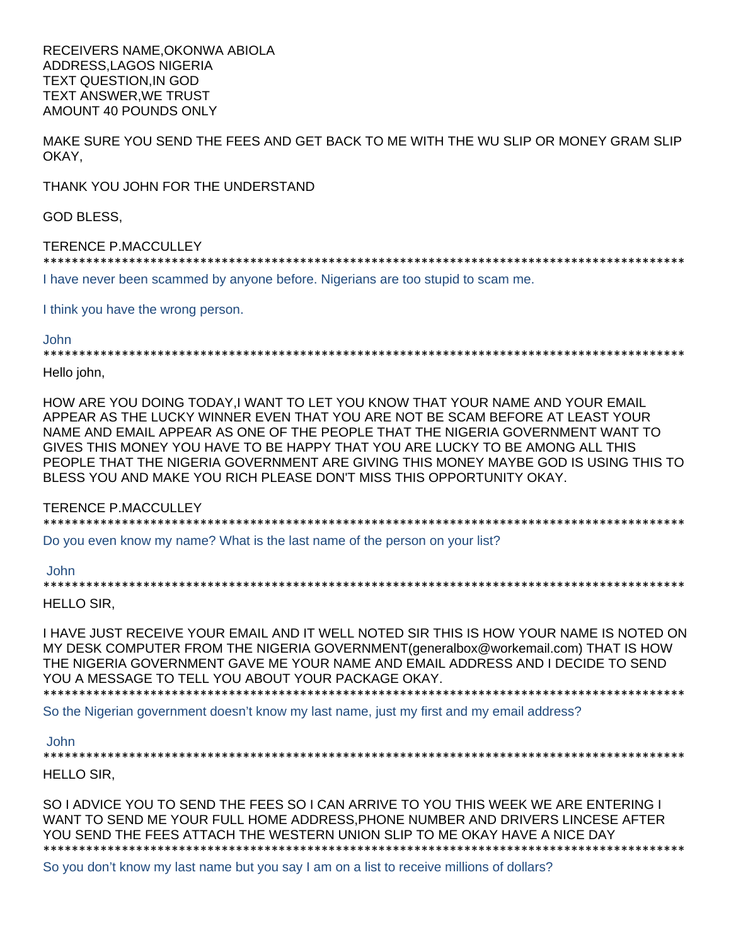RECEIVERS NAME,OKONWA ABIOLA ADDRESS,LAGOS NIGERIA TEXT QUESTION,IN GOD TEXT ANSWER,WE TRUST AMOUNT 40 POUNDS ONLY

MAKE SURE YOU SEND THE FEES AND GET BACK TO ME WITH THE WU SLIP OR MONEY GRAM SLIP OKAY,

THANK YOU JOHN FOR THE UNDERSTAND

GOD BLESS,

#### TERENCE P.MACCULLEY

\*\*\*\*\*\*\*\*\*\*\*\*\*\*\*\*\*\*\*\*\*\*\*\*\*\*\*\*\*\*\*\*\*\*\*\*\*\*\*\*\*\*\*\*\*\*\*\*\*\*\*\*\*\*\*\*\*\*\*\*\*\*\*\*\*\*\*\*\*\*\*\*\*\*\*\*\*\*\*\*\*\*\*\*\*\*\*\*\*\*

I have never been scammed by anyone before. Nigerians are too stupid to scam me.

I think you have the wrong person.

#### John

\*\*\*\*\*\*\*\*\*\*\*\*\*\*\*\*\*\*\*\*\*\*\*\*\*\*\*\*\*\*\*\*\*\*\*\*\*\*\*\*\*\*\*\*\*\*\*\*\*\*\*\*\*\*\*\*\*\*\*\*\*\*\*\*\*\*\*\*\*\*\*\*\*\*\*\*\*\*\*\*\*\*\*\*\*\*\*\*\*\*

Hello john,

HOW ARE YOU DOING TODAY,I WANT TO LET YOU KNOW THAT YOUR NAME AND YOUR EMAIL APPEAR AS THE LUCKY WINNER EVEN THAT YOU ARE NOT BE SCAM BEFORE AT LEAST YOUR NAME AND EMAIL APPEAR AS ONE OF THE PEOPLE THAT THE NIGERIA GOVERNMENT WANT TO GIVES THIS MONEY YOU HAVE TO BE HAPPY THAT YOU ARE LUCKY TO BE AMONG ALL THIS PEOPLE THAT THE NIGERIA GOVERNMENT ARE GIVING THIS MONEY MAYBE GOD IS USING THIS TO BLESS YOU AND MAKE YOU RICH PLEASE DON'T MISS THIS OPPORTUNITY OKAY.

TERENCE P.MACCULLEY

\*\*\*\*\*\*\*\*\*\*\*\*\*\*\*\*\*\*\*\*\*\*\*\*\*\*\*\*\*\*\*\*\*\*\*\*\*\*\*\*\*\*\*\*\*\*\*\*\*\*\*\*\*\*\*\*\*\*\*\*\*\*\*\*\*\*\*\*\*\*\*\*\*\*\*\*\*\*\*\*\*\*\*\*\*\*\*\*\*\*

Do you even know my name? What is the last name of the person on your list?

#### John

\*\*\*\*\*\*\*\*\*\*\*\*\*\*\*\*\*\*\*\*\*\*\*\*\*\*\*\*\*\*\*\*\*\*\*\*\*\*\*\*\*\*\*\*\*\*\*\*\*\*\*\*\*\*\*\*\*\*\*\*\*\*\*\*\*\*\*\*\*\*\*\*\*\*\*\*\*\*\*\*\*\*\*\*\*\*\*\*\*\*

HELLO SIR,

I HAVE JUST RECEIVE YOUR EMAIL AND IT WELL NOTED SIR THIS IS HOW YOUR NAME IS NOTED ON MY DESK COMPUTER FROM THE NIGERIA GOVERNMENT(generalbox@workemail.com) THAT IS HOW THE NIGERIA GOVERNMENT GAVE ME YOUR NAME AND EMAIL ADDRESS AND I DECIDE TO SEND YOU A MESSAGE TO TELL YOU ABOUT YOUR PACKAGE OKAY. \*\*\*\*\*\*\*\*\*\*\*\*\*\*\*\*\*\*\*\*\*\*\*\*\*\*\*\*\*\*\*\*\*\*\*\*\*\*\*\*\*\*\*\*\*\*\*\*\*\*\*\*\*\*\*\*\*\*\*\*\*\*\*\*\*\*\*\*\*\*\*\*\*\*\*\*\*\*\*\*\*\*\*\*\*\*\*\*\*\*

So the Nigerian government doesn't know my last name, just my first and my email address?

#### John

\*\*\*\*\*\*\*\*\*\*\*\*\*\*\*\*\*\*\*\*\*\*\*\*\*\*\*\*\*\*\*\*\*\*\*\*\*\*\*\*\*\*\*\*\*\*\*\*\*\*\*\*\*\*\*\*\*\*\*\*\*\*\*\*\*\*\*\*\*\*\*\*\*\*\*\*\*\*\*\*\*\*\*\*\*\*\*\*\*\*

HELLO SIR,

SO I ADVICE YOU TO SEND THE FEES SO I CAN ARRIVE TO YOU THIS WEEK WE ARE ENTERING I WANT TO SEND ME YOUR FULL HOME ADDRESS,PHONE NUMBER AND DRIVERS LINCESE AFTER YOU SEND THE FEES ATTACH THE WESTERN UNION SLIP TO ME OKAY HAVE A NICE DAY \*\*\*\*\*\*\*\*\*\*\*\*\*\*\*\*\*\*\*\*\*\*\*\*\*\*\*\*\*\*\*\*\*\*\*\*\*\*\*\*\*\*\*\*\*\*\*\*\*\*\*\*\*\*\*\*\*\*\*\*\*\*\*\*\*\*\*\*\*\*\*\*\*\*\*\*\*\*\*\*\*\*\*\*\*\*\*\*\*\*

So you don't know my last name but you say I am on a list to receive millions of dollars?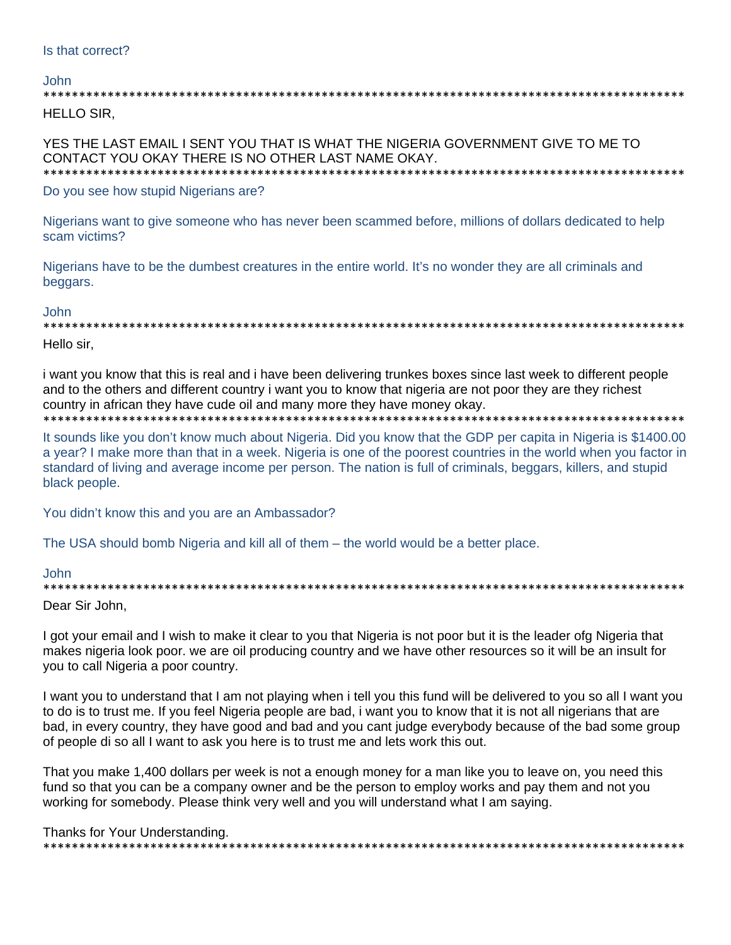#### John.

**HELLO SIR.** 

YES THE LAST EMAIL I SENT YOU THAT IS WHAT THE NIGERIA GOVERNMENT GIVE TO ME TO CONTACT YOU OKAY THERE IS NO OTHER LAST NAME OKAY. \*\*\*\*\*\*\*\*\*\*\*\*\*\*\*\*\*\*\*\*\*\*\*\*\*\*\*\*\*\* \*\*\*\*\*\*\*\*\*\*\*\*\*\*\*\*\*\*\*\*\*\*\*\*\*\*

Do you see how stupid Nigerians are?

Nigerians want to give someone who has never been scammed before, millions of dollars dedicated to help scam victims?

Nigerians have to be the dumbest creatures in the entire world. It's no wonder they are all criminals and beggars.

#### **John**

Hello sir.

i want you know that this is real and i have been delivering trunkes boxes since last week to different people and to the others and different country i want you to know that nigeria are not poor they are they richest country in african they have cude oil and many more they have money okay.

It sounds like you don't know much about Nigeria. Did you know that the GDP per capita in Nigeria is \$1400.00 a year? I make more than that in a week. Nigeria is one of the poorest countries in the world when you factor in standard of living and average income per person. The nation is full of criminals, beggars, killers, and stupid black people.

You didn't know this and you are an Ambassador?

The USA should bomb Nigeria and kill all of them – the world would be a better place.

John

Dear Sir John.

I got your email and I wish to make it clear to you that Nigeria is not poor but it is the leader ofg Nigeria that makes nigeria look poor. we are oil producing country and we have other resources so it will be an insult for you to call Nigeria a poor country.

I want you to understand that I am not playing when i tell you this fund will be delivered to you so all I want you to do is to trust me. If you feel Nigeria people are bad, i want you to know that it is not all nigerians that are bad, in every country, they have good and bad and you cant judge everybody because of the bad some group of people di so all I want to ask you here is to trust me and lets work this out.

That you make 1,400 dollars per week is not a enough money for a man like you to leave on, you need this fund so that you can be a company owner and be the person to employ works and pay them and not you working for somebody. Please think very well and you will understand what I am saying.

Thanks for Your Understanding.